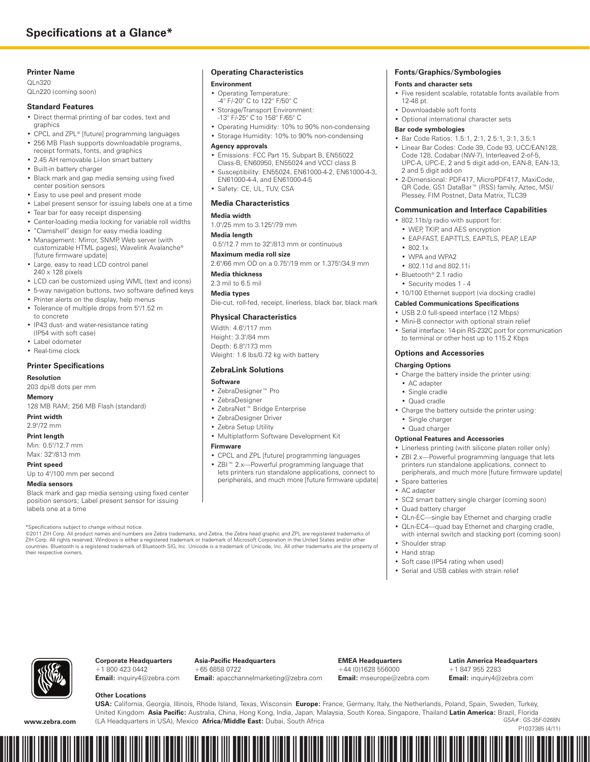# **Zebra® QLn™ Series**





Zebra's popular QL™ family of direct thermal mobile label printers has built a highly satisfied following based upon its proven dropresistant durability; user-friendly, productivity-boosting features; and easy integration. As Zebra's third generation of QL printers, the QLn™ series extends these QL-platform benefits to the "nth" power—whether you choose the QLn320™ for 3-inch-wide printing, or the soon-to-come 2-inch QLn220™ printer.

A new seamless, one-piece design and tempered-glass display join the printer's rubber-infused over-molding to make the lightweight printer even more durable. The QLn printer can boost your operation's productivity through a larger, sharper, easier-to-navigate display; faster, higher-quality printing; a variety of proactive alerts that help keep working printers in employees' hands; and many convenient charging accessories. And your IT department will find the QLn easier to integrate into existing environments with such features as Zebra Global Printing (coming soon), improved network performance, and ZebraLink™ support. Also prolong printer uptime and enhance operations productivity with remote Ethernetconnected printer, battery, configuration, and firmware management, all supported by ZebraLink™ tools.

## **Ideal for These Applications**

- **Retail**—shelf-edge labels, mark-down labels, price labels and tags, sell-by labels, transfer and return labels
- **Healthcare**—bedside specimen labels, pharmacy labels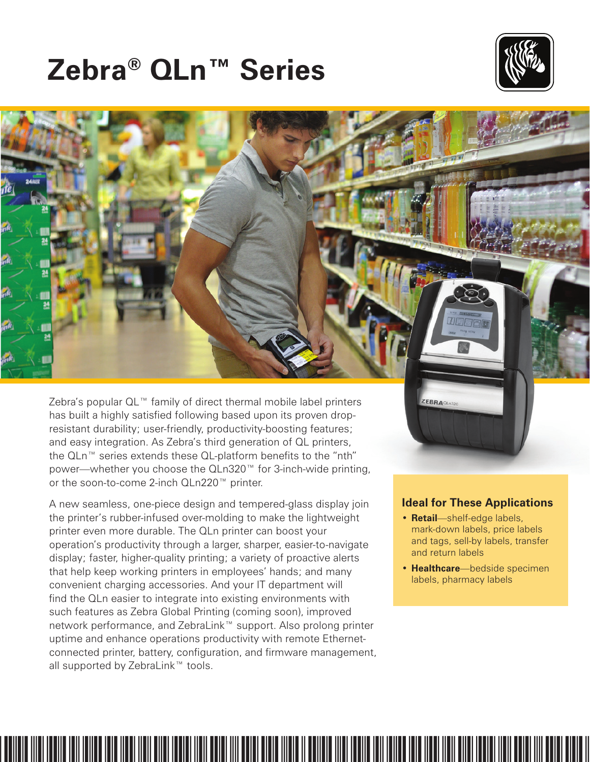# **Easier and More Efficient to Use**

Multiple enhancements deliver significant operations advantages over the previous-generation QL and QL Plus™ series mobile printers.

# **Easier to Use**

Reduce training requirements and speed user adoption. Increase worker productivity and process efficiency.

- Easy-to-read display with larger, higher-resolution screen **1**
- Easy-to-navigate controls and interface, including help menu and alert messages
- Intuitive peeler operation **2**
- Easy to carry and store with smaller, lighter printer design
- Faster, higher-quality printing with lower power use, through new Power Smart Print Technology™
- Higher performance
	- » Faster processing and throughput
	- » Increased memory that handles printer's advanced functions and future firmware improvements, and stores more complex fonts, graphics and images
- New, convenient charging accessories increase user and operations efficiencies

# **Longer Printer Uptime**

Improve operations productivity and reduce costs associated with downtime through fewer printing interruptions.

- Prevent associates from being stuck printerless in the middle of their work. The printer enables proactive maintenance by displaying printer alert messages, smart battery charge and health status, and printhead cleaning reminders and how-to's.
- Avoid the downtime and costs of unnecessarily sending the printer away for servicing. Many issues can be remotely diagnosed and resolved (including firmware updates, configuration changes, and adding new fonts or graphics) over an Ethernet connection.



# **Easier to Integrate, Manage and Maintain**

New features in the QLn printer make it easier and quicker to integrate into your existing network and printer environment, anywhere in the world, with no changes to software or network infrastructure needed. They help save IT time and costs—as do easier printer management and other features.

## **Easier to Integrate**

- Backwards compatibility with QL and QL Plus lets you upgrade to the QLn without changing media or label formats. It also allows mixed networks of QL/QL Plus and QLn products, as does the QLn printer's inclusion of the legacy CPCL programming language.
- Inclusion of ZPL® X.16 programming language (coming soon) simplifies integration with Zebra desktop and tabletop printers.
- With Zebra's Unicode™ UTF-16-compliant Global Printing Solution (coming soon) with right-to-left printing capability, print in the native language of most countries around the world, and print multiple languages on a single label.
- Integrate and use the printer in a variety of physical environments and conditions thanks to its durable design.

## **Easier to Manage**

- Rapidly configure, monitor and control Zebra printers on your network—maximizing uptime to get the most from your investment—with ZebraLink™ tools like the Zebra Setup Utility (for single printer setup), ZebraNet™ Bridge Enterprise for global centralized printer management, ZebraDesigner<sup>™</sup> Drivers (for Windows<sup>®</sup> based printing), ZebraDesigner Pro (for label design), ZebraLink Multiplatform SDK and Smartphone Utility (for printing from mobile terminals and smartphones), and (coming soon) ZBI 2.0™ programming for customizing the functionality of the printer, including connecting to scanners, scales, and other peripherals.
- Also manage specific, local printer and battery issues remotely over a wired IP network via a Zebra Ethernet Cradle—keeping printers in service longer and reducing "no problem found" returns.

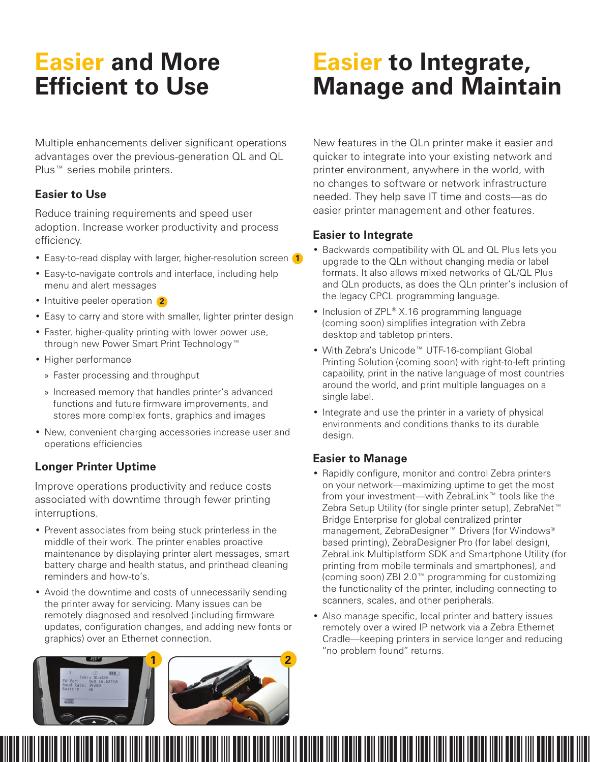# **Mobile A to Z From Accessories, to Supplies, to ZebraCare™ Plans**

## **Lithium-Ion Charging Accessories**

### **Smart Charger**

Charges standalone batteries. LEDs indicate charge and health status.

### **Ethernet Cradle**

Provides Ethernet connectivity and charges the battery while it is in the printer.

## **Quad Ethernet Cradle**

This quad version of the Ethernet cradle charges four printers at a time. Includes an internal Ethernet switch and second Ethernet port for stacking up to four quad cradles (manage up to 16 printers off one switch port).

## **Quad Battery Charger**

Charge four standalone batteries (same unit used with the QL series).

# **Carrying Straps**

**Hand Strap**

Allows printer to be hand-carried.

## **Shoulder Strap**

Allows printer to be carried over the shoulder.

## **Cases**

Add an extra layer of protection for harsh environments with a soft case. While inside the case, the printer is IP54-rated for resistance to windblown water and dust. Case provides openings for changing the media and batteries, and all connectors are accessible. Includes a shoulder strap.

## **Spare Lithium-Ion Batteries**

Spare batteries on hand ensure quick battery replacement to extend the printer's operating time.

# **Genuine Zebra™ Supplies**

Ensure consistent print quality, reduce downtime

and increase productivity in your printing process with genuine Zebra supplies. We manufacture each supplies product



with the exact same materials every time so you always get crisp, readable and scannable output without needing to adjust the printer darkness setting between rolls.

# **ZebraCare™ Service**

Increase printer uptime, and reduce lost

productivity and unbudgeted repair costs, by selecting a ZebraCare Depot



service agreement. A cost-effective means of planning and budgeting your annual maintenance expenditures, your agreement ensures that trained Zebra technicians will bring your printer back to factory specifications. Zebra offers a variety of plans to fit your budget and business needs.